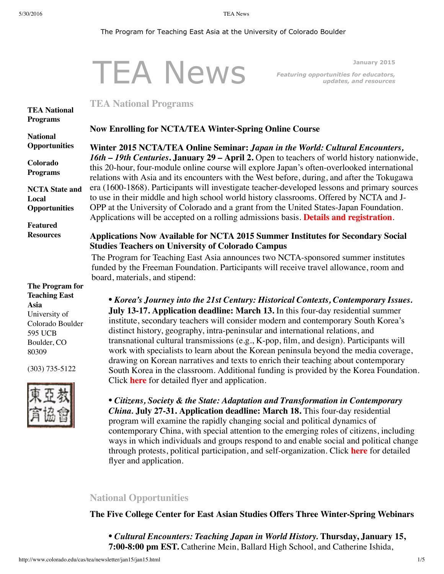#### <span id="page-0-0"></span>The Program for Teaching East Asia at the University of Colorado Boulder

#### TEA News **January 2015** *Featuring opportunities for educators, updates, and resources* **TEA National [Programs](#page-0-0) National [Opportunities](#page-0-1) Colorado [Programs](#page-3-0) NCTA State and Local [Opportunities](#page-3-1) Featured [Resources](#page-4-0) The Program for Teaching East Asia** University of Colorado Boulder 595 UCB **TEA National Programs Now Enrolling for NCTA/TEA Winter-Spring Online Course Winter 2015 NCTA/TEA Online Seminar:** *Japan in the World: Cultural Encounters, 16th – 19th Centuries***. January 29 – April 2.** Open to teachers of world history nationwide, this 20-hour, four-module online course will explore Japan's often-overlooked international relations with Asia and its encounters with the West before, during, and after the Tokugawa era (1600-1868). Participants will investigate teacher-developed lessons and primary sources to use in their middle and high school world history classrooms. Offered by NCTA and J-OPP at the University of Colorado and a grant from the United States-Japan Foundation. Applications will be accepted on a rolling admissions basis. **Details and [registration](http://www.colorado.edu/cas/tea/programs/downloads/CEJPinWorldFlyer.pdf)**. **Applications Now Available for NCTA 2015 Summer Institutes for Secondary Social Studies Teachers on University of Colorado Campus** The Program for Teaching East Asia announces two NCTA-sponsored summer institutes funded by the Freeman Foundation. Participants will receive travel allowance, room and board, materials, and stipend: *• Korea's Journey into the 21st Century: Historical Contexts, Contemporary Issues.* **July 13-17. Application deadline: March 13.** In this four-day residential summer institute, secondary teachers will consider modern and contemporary South Korea's distinct history, geography, intra-peninsular and international relations, and

(303) 735-5122

Boulder, CO 80309



*• Citizens, Society & the State: Adaptation and Transformation in Contemporary China.* **July 27-31. Application deadline: March 18.** This four-day residential program will examine the rapidly changing social and political dynamics of contemporary China, with special attention to the emerging roles of citizens, including ways in which individuals and groups respond to and enable social and political change through protests, political participation, and self-organization. Click **[here](http://www.colorado.edu/cas/tea/ncta/downloads/China_SI15_application.pdf)** for detailed flyer and application.

transnational cultural transmissions (e.g., K-pop, film, and design). Participants will work with specialists to learn about the Korean peninsula beyond the media coverage, drawing on Korean narratives and texts to enrich their teaching about contemporary South Korea in the classroom. Additional funding is provided by the Korea Foundation.

# <span id="page-0-1"></span>**National Opportunities**

Click **[here](http://www.colorado.edu/cas/tea/ncta/downloads/KoreaSI2015Application.pdf)** for detailed flyer and application.

### **The Five College Center for East Asian Studies Offers Three Winter-Spring Webinars**

*• Cultural Encounters: Teaching Japan in World History.* **Thursday, January 15, 7:00-8:00 pm EST.** Catherine Mein, Ballard High School, and Catherine Ishida,

http://www.colorado.edu/cas/tea/newsletter/jan15/jan15.html 1/5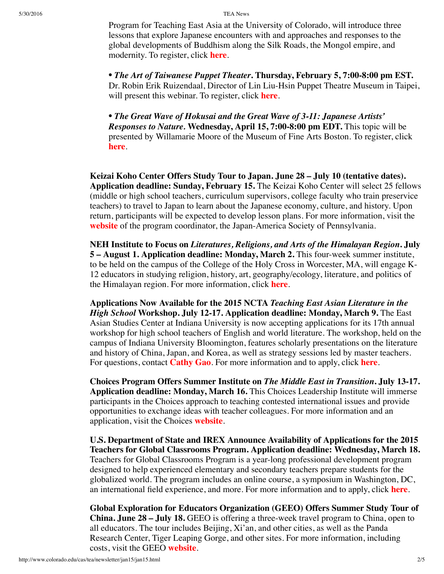5/30/2016 TEA News

Program for Teaching East Asia at the University of Colorado, will introduce three lessons that explore Japanese encounters with and approaches and responses to the global developments of Buddhism along the Silk Roads, the Mongol empire, and modernity. To register, click **[here](https://attendee.gotowebinar.com/register/4881293229654418434)**.

• *The Art of Taiwanese Puppet Theater***. Thursday, February 5, 7:00-8:00 pm EST.** Dr. Robin Erik Ruizendaal, Director of Lin Liu-Hsin Puppet Theatre Museum in Taipei, will present this webinar. To register, click **[here](https://attendee.gotowebinar.com/register/5292689798876068354)**.

• *The Great Wave of Hokusai and the Great Wave of 3-11: Japanese Artists' Responses to Nature.* **Wednesday, April 15, 7:00-8:00 pm EDT.** This topic will be presented by Willamarie Moore of the Museum of Fine Arts Boston. To register, click **[here](https://attendee.gotowebinar.com/register/4135220713692853762)**.

**Keizai Koho Center Offers Study Tour to Japan. June 28 – July 10 (tentative dates). Application deadline: Sunday, February 15.** The Keizai Koho Center will select 25 fellows (middle or high school teachers, curriculum supervisors, college faculty who train preservice teachers) to travel to Japan to learn about the Japanese economy, culture, and history. Upon return, participants will be expected to develop lesson plans. For more information, visit the **[website](http://www.us-japan.org/programs/kkc/k2015/index.html)** of the program coordinator, the Japan-America Society of Pennsylvania.

**NEH Institute to Focus on** *Literatures, Religions, and Arts of the Himalayan Region***. July 5 – August 1. Application deadline: Monday, March 2.** This four-week summer institute, to be held on the campus of the College of the Holy Cross in Worcester, MA, will engage K-12 educators in studying religion, history, art, geography/ecology, literature, and politics of the Himalayan region. For more information, click **[here](http://college.holycross.edu/projects/himalayan_cultures/)**.

<span id="page-1-0"></span>**Applications Now Available for the 2015 NCTA** *Teaching East Asian Literature in the High School* **Workshop. July 12-17. Application deadline: Monday, March 9.** The East Asian Studies Center at Indiana University is now accepting applications for its 17th annual workshop for high school teachers of English and world literature. The workshop, held on the campus of Indiana University Bloomington, features scholarly presentations on the literature and history of China, Japan, and Korea, as well as strategy sessions led by master teachers. For questions, contact **[Cathy](mailto:leigao@indiana.edu) Gao**. For more information and to apply, click **[here](http://www.indiana.edu/~easc/outreach/educators/literature/index.shtml)**.

**Choices Program Offers Summer Institute on** *The Middle East in Transition***. July 13-17. Application deadline: Monday, March 16.** This Choices Leadership Institute will immerse participants in the Choices approach to teaching contested international issues and provide opportunities to exchange ideas with teacher colleagues. For more information and an application, visit the Choices **[website](http://www.choices.edu/pd/institutes/institute-2015)**.

**U.S. Department of State and IREX Announce Availability of Applications for the 2015 Teachers for Global Classrooms Program. Application deadline: Wednesday, March 18.** Teachers for Global Classrooms Program is a year-long professional development program designed to help experienced elementary and secondary teachers prepare students for the globalized world. The program includes an online course, a symposium in Washington, DC, an international field experience, and more. For more information and to apply, click **[here](http://www.irex.org/application/teachers-global-classrooms-tgc-american-teachers-application-information)**.

**Global Exploration for Educators Organization (GEEO) Offers Summer Study Tour of China. June 28 – July 18.** GEEO is offering a three-week travel program to China, open to all educators. The tour includes Beijing, Xi'an, and other cities, as well as the Panda Research Center, Tiger Leaping Gorge, and other sites. For more information, including costs, visit the GEEO **[website](http://www.geeo.org/tours/China/)**.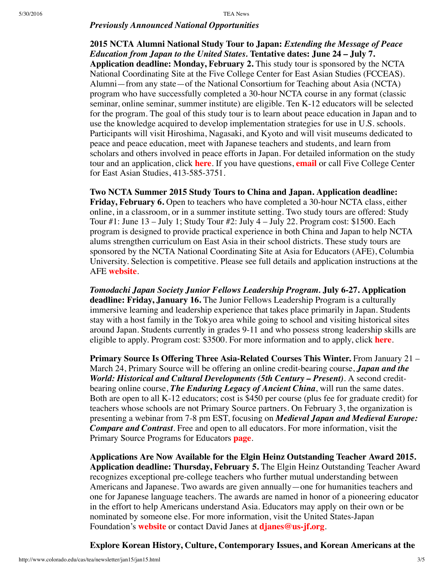## *Previously Announced National Opportunities*

<span id="page-2-0"></span>**2015 NCTA Alumni National Study Tour to Japan:** *Extending the Message of Peace Education from Japan to the United States.* **Tentative dates: June 24 – July 7. Application deadline: Monday, February 2.** This study tour is sponsored by the NCTA National Coordinating Site at the Five College Center for East Asian Studies (FCCEAS). Alumni—from any state—of the National Consortium for Teaching about Asia (NCTA) program who have successfully completed a 30-hour NCTA course in any format (classic seminar, online seminar, summer institute) are eligible. Ten K-12 educators will be selected for the program. The goal of this study tour is to learn about peace education in Japan and to use the knowledge acquired to develop implementation strategies for use in U.S. schools. Participants will visit Hiroshima, Nagasaki, and Kyoto and will visit museums dedicated to peace and peace education, meet with Japanese teachers and students, and learn from scholars and others involved in peace efforts in Japan. For detailed information on the study tour and an application, click **[here](https://www.fivecolleges.edu/fcceas/2015-study-tour)**. If you have questions, **[email](mailto:aprescott@fivecolleges.edu)** or call Five College Center for East Asian Studies, 413-585-3751.

<span id="page-2-1"></span>**Two NCTA Summer 2015 Study Tours to China and Japan. Application deadline: Friday, February 6.** Open to teachers who have completed a 30-hour NCTA class, either online, in a classroom, or in a summer institute setting. Two study tours are offered: Study Tour #1: June 13 – July 1; Study Tour #2: July 4 – July 22. Program cost: \$1500. Each program is designed to provide practical experience in both China and Japan to help NCTA alums strengthen curriculum on East Asia in their school districts. These study tours are sponsored by the NCTA National Coordinating Site at Asia for Educators (AFE), Columbia University. Selection is competitive. Please see full details and application instructions at the AFE **[website](http://www.columbia.edu/itc/eacp/ncta-columbia/studytours/index.html)**.

*Tomodachi Japan Society Junior Fellows Leadership Program.* **July 6-27. Application deadline: Friday, January 16.** The Junior Fellows Leadership Program is a culturally immersive learning and leadership experience that takes place primarily in Japan. Students stay with a host family in the Tokyo area while going to school and visiting historical sites around Japan. Students currently in grades 9-11 and who possess strong leadership skills are eligible to apply. Program cost: \$3500. For more information and to apply, click **[here](http://www.japansociety.org/programs/education_family/programs_for_students/japan-society-junior-fellows-program)**.

**Primary Source Is Offering Three Asia-Related Courses This Winter.** From January 21 – March 24, Primary Source will be offering an online credit-bearing course, *Japan and the World: Historical and Cultural Developments (5th Century – Present)*. A second creditbearing online course, *The Enduring Legacy of Ancient China*, will run the same dates. Both are open to all K-12 educators; cost is \$450 per course (plus fee for graduate credit) for teachers whose schools are not Primary Source partners. On February 3, the organization is presenting a webinar from 7-8 pm EST, focusing on *Medieval Japan and Medieval Europe: Compare and Contrast*. Free and open to all educators. For more information, visit the Primary Source Programs for Educators **[page](http://www.primarysource.org/for-educators)**.

**Applications Are Now Available for the Elgin Heinz Outstanding Teacher Award 2015. Application deadline: Thursday, February 5.** The Elgin Heinz Outstanding Teacher Award recognizes exceptional pre-college teachers who further mutual understanding between Americans and Japanese. Two awards are given annually—one for humanities teachers and one for Japanese language teachers. The awards are named in honor of a pioneering educator in the effort to help Americans understand Asia. Educators may apply on their own or be nominated by someone else. For more information, visit the United States-Japan Foundation's **[website](http://us-jf.org/guidelines/elgin-heinz-teacher-award-eligibility-requirements/)** or contact David Janes at **[djanes@us-jf.org](mailto:djanes@us-jf.org)**.

**Explore Korean History, Culture, Contemporary Issues, and Korean Americans at the**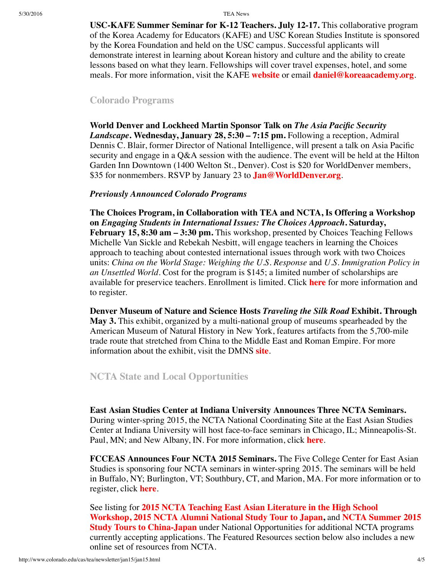5/30/2016 TEA News

**USC-KAFE Summer Seminar for K-12 Teachers. July 12-17.** This collaborative program of the Korea Academy for Educators (KAFE) and USC Korean Studies Institute is sponsored by the Korea Foundation and held on the USC campus. Successful applicants will demonstrate interest in learning about Korean history and culture and the ability to create lessons based on what they learn. Fellowships will cover travel expenses, hotel, and some meals. For more information, visit the KAFE **[website](http://www.koreaacademy.org/)** or email **[daniel@koreaacademy.org](mailto:daniel@koreaacademy.org)**.

### <span id="page-3-0"></span>**Colorado Programs**

**World Denver and Lockheed Martin Sponsor Talk on** *The Asia Pacific Security Landscape***. Wednesday, January 28, 5:30 – 7:15 pm.** Following a reception, Admiral Dennis C. Blair, former Director of National Intelligence, will present a talk on Asia Pacific security and engage in a Q&A session with the audience. The event will be held at the Hilton Garden Inn Downtown (1400 Welton St., Denver). Cost is \$20 for WorldDenver members, \$35 for nonmembers. RSVP by January 23 to **[Jan@WorldDenver.org](mailto:Jan@WorldDenver.org)**.

#### *Previously Announced Colorado Programs*

**The Choices Program, in Collaboration with TEA and NCTA, Is Offering a Workshop on** *Engaging Students in International Issues: The Choices Approach***. Saturday, February 15, 8:30 am – 3:30 pm.** This workshop, presented by Choices Teaching Fellows Michelle Van Sickle and Rebekah Nesbitt, will engage teachers in learning the Choices approach to teaching about contested international issues through work with two Choices units: *China on the World Stage: Weighing the U.S. Response* and *U.S. Immigration Policy in an Unsettled World.* Cost for the program is \$145; a limited number of scholarships are available for preservice teachers. Enrollment is limited. Click **[here](http://www.choices.edu/pd/workshops/co-2015.php)** for more information and to register.

**Denver Museum of Nature and Science Hosts** *Traveling the Silk Road* **Exhibit. Through May 3.** This exhibit, organized by a multi-national group of museums spearheaded by the American Museum of Natural History in New York, features artifacts from the 5,700-mile trade route that stretched from China to the Middle East and Roman Empire. For more information about the exhibit, visit the DMNS **[site](http://www.dmns.org/traveling-the-silk-road/)**.

# <span id="page-3-1"></span>**NCTA State and Local Opportunities**

**East Asian Studies Center at Indiana University Announces Three NCTA Seminars.** During winter-spring 2015, the NCTA National Coordinating Site at the East Asian Studies Center at Indiana University will host face-to-face seminars in Chicago, IL; Minneapolis-St. Paul, MN; and New Albany, IN. For more information, click **[here](http://www.iu.edu/~easc/outreach/educators/seminar/index.shtml)**.

**FCCEAS Announces Four NCTA 2015 Seminars.** The Five College Center for East Asian Studies is sponsoring four NCTA seminars in winter-spring 2015. The seminars will be held in Buffalo, NY; Burlington, VT; Southbury, CT, and Marion, MA. For more information or to register, click **[here](https://www.fivecolleges.edu/fcceas/)**.

See listing for **2015 NCTA Teaching East Asian Literature in the High School [Workshop,](#page-1-0) 2015 NCTA Alumni [National](#page-2-0) Study Tour to Japan,** and **NCTA Summer 2015 Study Tours to [China-Japan](#page-2-1)** under National Opportunities for additional NCTA programs currently accepting applications. The Featured Resources section below also includes a new online set of resources from NCTA.